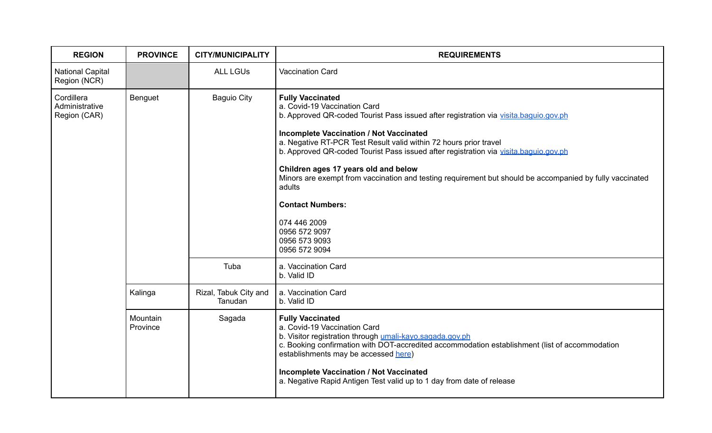| <b>REGION</b>                                | <b>PROVINCE</b>      | <b>CITY/MUNICIPALITY</b>         | <b>REQUIREMENTS</b>                                                                                                                                                                                                                                                                                                                                                                                                                                                                                                                                                                                                        |
|----------------------------------------------|----------------------|----------------------------------|----------------------------------------------------------------------------------------------------------------------------------------------------------------------------------------------------------------------------------------------------------------------------------------------------------------------------------------------------------------------------------------------------------------------------------------------------------------------------------------------------------------------------------------------------------------------------------------------------------------------------|
| <b>National Capital</b><br>Region (NCR)      |                      | <b>ALL LGUS</b>                  | <b>Vaccination Card</b>                                                                                                                                                                                                                                                                                                                                                                                                                                                                                                                                                                                                    |
| Cordillera<br>Administrative<br>Region (CAR) | Benguet              | <b>Baguio City</b>               | <b>Fully Vaccinated</b><br>a. Covid-19 Vaccination Card<br>b. Approved QR-coded Tourist Pass issued after registration via visita.baquio.gov.ph<br><b>Incomplete Vaccination / Not Vaccinated</b><br>a. Negative RT-PCR Test Result valid within 72 hours prior travel<br>b. Approved QR-coded Tourist Pass issued after registration via visita.baguio.gov.ph<br>Children ages 17 years old and below<br>Minors are exempt from vaccination and testing requirement but should be accompanied by fully vaccinated<br>adults<br><b>Contact Numbers:</b><br>074 446 2009<br>0956 572 9097<br>0956 573 9093<br>0956 572 9094 |
|                                              |                      | Tuba                             | a. Vaccination Card<br>b. Valid ID                                                                                                                                                                                                                                                                                                                                                                                                                                                                                                                                                                                         |
|                                              | Kalinga              | Rizal, Tabuk City and<br>Tanudan | a. Vaccination Card<br>b. Valid ID                                                                                                                                                                                                                                                                                                                                                                                                                                                                                                                                                                                         |
|                                              | Mountain<br>Province | Sagada                           | <b>Fully Vaccinated</b><br>a. Covid-19 Vaccination Card<br>b. Visitor registration through umali-kayo.sagada.gov.ph<br>c. Booking confirmation with DOT-accredited accommodation establishment (list of accommodation<br>establishments may be accessed here)<br><b>Incomplete Vaccination / Not Vaccinated</b><br>a. Negative Rapid Antigen Test valid up to 1 day from date of release                                                                                                                                                                                                                                   |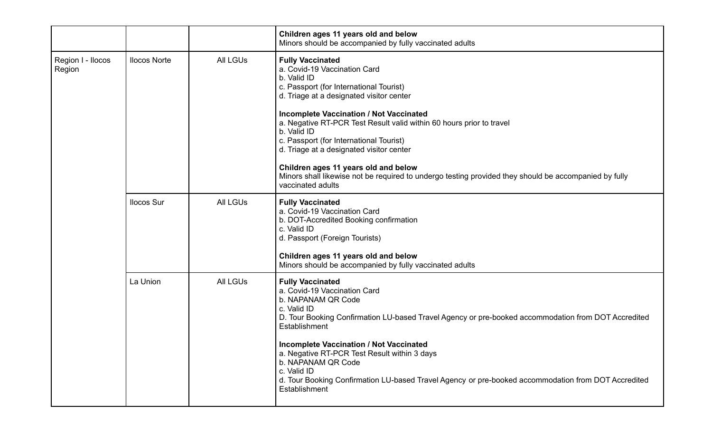|                             |                     |                 | Children ages 11 years old and below<br>Minors should be accompanied by fully vaccinated adults                                                                                                                                                                                                                                                                                                                                                                                                                                                                     |
|-----------------------------|---------------------|-----------------|---------------------------------------------------------------------------------------------------------------------------------------------------------------------------------------------------------------------------------------------------------------------------------------------------------------------------------------------------------------------------------------------------------------------------------------------------------------------------------------------------------------------------------------------------------------------|
| Region I - Ilocos<br>Region | <b>Ilocos Norte</b> | <b>All LGUs</b> | <b>Fully Vaccinated</b><br>a. Covid-19 Vaccination Card<br>b. Valid ID<br>c. Passport (for International Tourist)<br>d. Triage at a designated visitor center<br><b>Incomplete Vaccination / Not Vaccinated</b><br>a. Negative RT-PCR Test Result valid within 60 hours prior to travel<br>b. Valid ID<br>c. Passport (for International Tourist)<br>d. Triage at a designated visitor center<br>Children ages 11 years old and below<br>Minors shall likewise not be required to undergo testing provided they should be accompanied by fully<br>vaccinated adults |
|                             | <b>Ilocos Sur</b>   | <b>All LGUs</b> | <b>Fully Vaccinated</b><br>a. Covid-19 Vaccination Card<br>b. DOT-Accredited Booking confirmation<br>c. Valid ID<br>d. Passport (Foreign Tourists)<br>Children ages 11 years old and below<br>Minors should be accompanied by fully vaccinated adults                                                                                                                                                                                                                                                                                                               |
|                             | La Union            | <b>All LGUs</b> | <b>Fully Vaccinated</b><br>a. Covid-19 Vaccination Card<br>b. NAPANAM QR Code<br>c. Valid ID<br>D. Tour Booking Confirmation LU-based Travel Agency or pre-booked accommodation from DOT Accredited<br>Establishment<br><b>Incomplete Vaccination / Not Vaccinated</b><br>a. Negative RT-PCR Test Result within 3 days<br>b. NAPANAM QR Code<br>c. Valid ID<br>d. Tour Booking Confirmation LU-based Travel Agency or pre-booked accommodation from DOT Accredited<br>Establishment                                                                                 |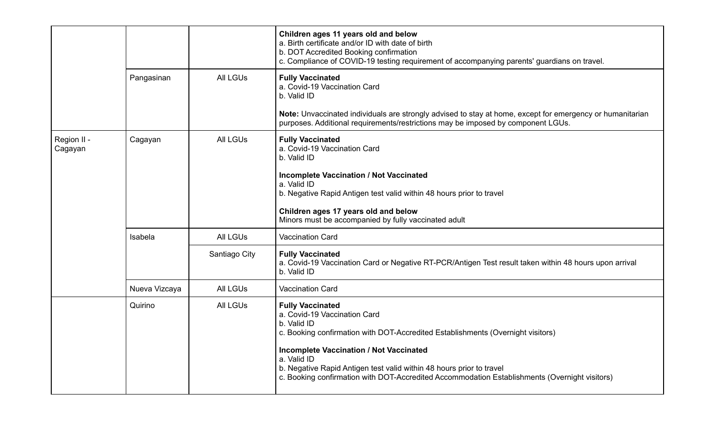|                        |               |                 | Children ages 11 years old and below<br>a. Birth certificate and/or ID with date of birth<br>b. DOT Accredited Booking confirmation<br>c. Compliance of COVID-19 testing requirement of accompanying parents' guardians on travel.                                                                                                                                                                  |
|------------------------|---------------|-----------------|-----------------------------------------------------------------------------------------------------------------------------------------------------------------------------------------------------------------------------------------------------------------------------------------------------------------------------------------------------------------------------------------------------|
|                        | Pangasinan    | <b>All LGUs</b> | <b>Fully Vaccinated</b><br>a. Covid-19 Vaccination Card<br>b. Valid ID                                                                                                                                                                                                                                                                                                                              |
|                        |               |                 | Note: Unvaccinated individuals are strongly advised to stay at home, except for emergency or humanitarian<br>purposes. Additional requirements/restrictions may be imposed by component LGUs.                                                                                                                                                                                                       |
| Region II -<br>Cagayan | Cagayan       | <b>All LGUs</b> | <b>Fully Vaccinated</b><br>a. Covid-19 Vaccination Card<br>b. Valid ID                                                                                                                                                                                                                                                                                                                              |
|                        |               |                 | <b>Incomplete Vaccination / Not Vaccinated</b><br>a. Valid ID<br>b. Negative Rapid Antigen test valid within 48 hours prior to travel                                                                                                                                                                                                                                                               |
|                        |               |                 | Children ages 17 years old and below<br>Minors must be accompanied by fully vaccinated adult                                                                                                                                                                                                                                                                                                        |
|                        | Isabela       | <b>All LGUs</b> | <b>Vaccination Card</b>                                                                                                                                                                                                                                                                                                                                                                             |
|                        |               | Santiago City   | <b>Fully Vaccinated</b><br>a. Covid-19 Vaccination Card or Negative RT-PCR/Antigen Test result taken within 48 hours upon arrival<br>b. Valid ID                                                                                                                                                                                                                                                    |
|                        | Nueva Vizcaya | <b>All LGUs</b> | <b>Vaccination Card</b>                                                                                                                                                                                                                                                                                                                                                                             |
|                        | Quirino       | <b>All LGUs</b> | <b>Fully Vaccinated</b><br>a. Covid-19 Vaccination Card<br>b. Valid ID<br>c. Booking confirmation with DOT-Accredited Establishments (Overnight visitors)<br><b>Incomplete Vaccination / Not Vaccinated</b><br>a. Valid ID<br>b. Negative Rapid Antigen test valid within 48 hours prior to travel<br>c. Booking confirmation with DOT-Accredited Accommodation Establishments (Overnight visitors) |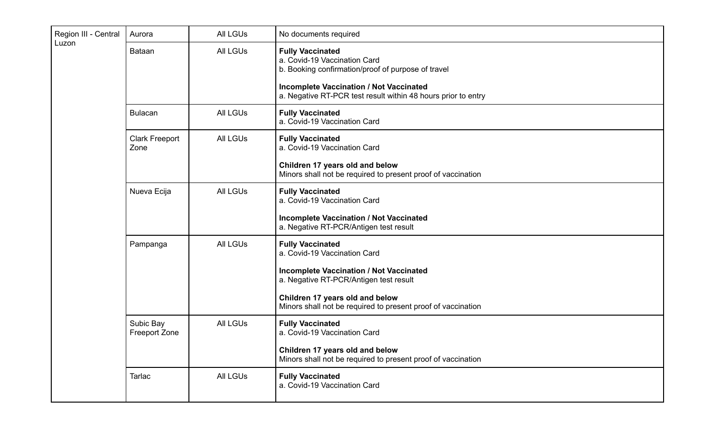| Region III - Central | Aurora                        | <b>All LGUs</b> | No documents required                                                                                                                                           |
|----------------------|-------------------------------|-----------------|-----------------------------------------------------------------------------------------------------------------------------------------------------------------|
| Luzon                | Bataan                        | <b>All LGUs</b> | <b>Fully Vaccinated</b><br>a. Covid-19 Vaccination Card<br>b. Booking confirmation/proof of purpose of travel<br><b>Incomplete Vaccination / Not Vaccinated</b> |
|                      |                               |                 | a. Negative RT-PCR test result within 48 hours prior to entry                                                                                                   |
|                      | <b>Bulacan</b>                | <b>All LGUs</b> | <b>Fully Vaccinated</b><br>a. Covid-19 Vaccination Card                                                                                                         |
|                      | <b>Clark Freeport</b><br>Zone | <b>All LGUs</b> | <b>Fully Vaccinated</b><br>a. Covid-19 Vaccination Card                                                                                                         |
|                      |                               |                 | Children 17 years old and below<br>Minors shall not be required to present proof of vaccination                                                                 |
|                      | Nueva Ecija                   | <b>All LGUs</b> | <b>Fully Vaccinated</b><br>a. Covid-19 Vaccination Card                                                                                                         |
|                      |                               |                 | <b>Incomplete Vaccination / Not Vaccinated</b><br>a. Negative RT-PCR/Antigen test result                                                                        |
|                      | Pampanga                      | <b>All LGUs</b> | <b>Fully Vaccinated</b><br>a. Covid-19 Vaccination Card                                                                                                         |
|                      |                               |                 | <b>Incomplete Vaccination / Not Vaccinated</b><br>a. Negative RT-PCR/Antigen test result                                                                        |
|                      |                               |                 | Children 17 years old and below<br>Minors shall not be required to present proof of vaccination                                                                 |
|                      | Subic Bay<br>Freeport Zone    | <b>All LGUs</b> | <b>Fully Vaccinated</b><br>a. Covid-19 Vaccination Card                                                                                                         |
|                      |                               |                 | Children 17 years old and below<br>Minors shall not be required to present proof of vaccination                                                                 |
|                      | <b>Tarlac</b>                 | All LGUs        | <b>Fully Vaccinated</b><br>a. Covid-19 Vaccination Card                                                                                                         |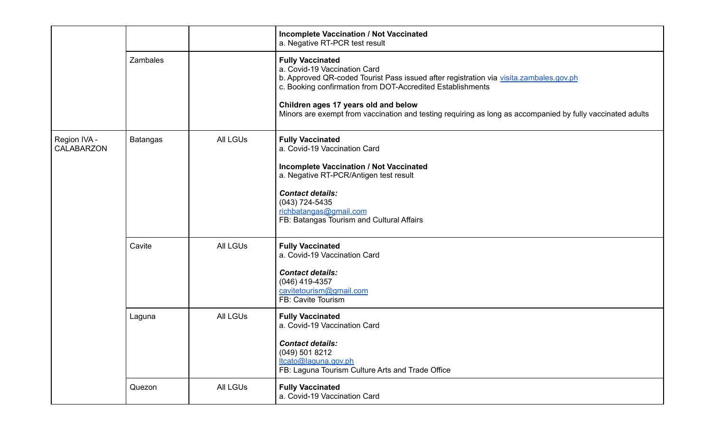|                            |                 |                 | <b>Incomplete Vaccination / Not Vaccinated</b><br>a. Negative RT-PCR test result                                                                                                                                                                                                                                                                                      |
|----------------------------|-----------------|-----------------|-----------------------------------------------------------------------------------------------------------------------------------------------------------------------------------------------------------------------------------------------------------------------------------------------------------------------------------------------------------------------|
|                            | Zambales        |                 | <b>Fully Vaccinated</b><br>a. Covid-19 Vaccination Card<br>b. Approved QR-coded Tourist Pass issued after registration via visita.zambales.gov.ph<br>c. Booking confirmation from DOT-Accredited Establishments<br>Children ages 17 years old and below<br>Minors are exempt from vaccination and testing requiring as long as accompanied by fully vaccinated adults |
| Region IVA -<br>CALABARZON | <b>Batangas</b> | <b>All LGUs</b> | <b>Fully Vaccinated</b><br>a. Covid-19 Vaccination Card<br><b>Incomplete Vaccination / Not Vaccinated</b><br>a. Negative RT-PCR/Antigen test result<br><b>Contact details:</b><br>$(043)$ 724-5435<br>richbatangas@gmail.com<br>FB: Batangas Tourism and Cultural Affairs                                                                                             |
|                            | Cavite          | <b>All LGUs</b> | <b>Fully Vaccinated</b><br>a. Covid-19 Vaccination Card<br><b>Contact details:</b><br>$(046)$ 419-4357<br>cavitetourism@gmail.com<br>FB: Cavite Tourism                                                                                                                                                                                                               |
|                            | Laguna          | <b>All LGUs</b> | <b>Fully Vaccinated</b><br>a. Covid-19 Vaccination Card<br><b>Contact details:</b><br>(049) 501 8212<br>ltcato@laguna.gov.ph<br>FB: Laguna Tourism Culture Arts and Trade Office                                                                                                                                                                                      |
|                            | Quezon          | All LGUs        | <b>Fully Vaccinated</b><br>a. Covid-19 Vaccination Card                                                                                                                                                                                                                                                                                                               |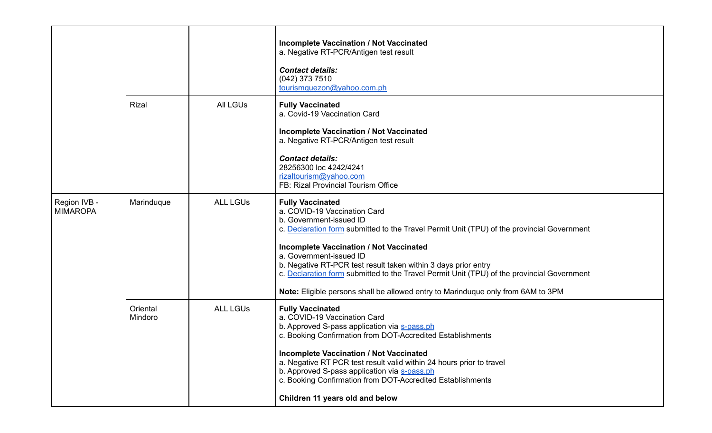|                                 |                     |                 | <b>Incomplete Vaccination / Not Vaccinated</b><br>a. Negative RT-PCR/Antigen test result<br><b>Contact details:</b><br>(042) 373 7510<br>tourismquezon@yahoo.com.ph                                                                                                                                                                                                                                                                                                                                               |
|---------------------------------|---------------------|-----------------|-------------------------------------------------------------------------------------------------------------------------------------------------------------------------------------------------------------------------------------------------------------------------------------------------------------------------------------------------------------------------------------------------------------------------------------------------------------------------------------------------------------------|
|                                 | <b>Rizal</b>        | <b>All LGUS</b> | <b>Fully Vaccinated</b><br>a. Covid-19 Vaccination Card<br><b>Incomplete Vaccination / Not Vaccinated</b><br>a. Negative RT-PCR/Antigen test result                                                                                                                                                                                                                                                                                                                                                               |
|                                 |                     |                 | <b>Contact details:</b><br>28256300 loc 4242/4241<br>rizaltourism@yahoo.com<br>FB: Rizal Provincial Tourism Office                                                                                                                                                                                                                                                                                                                                                                                                |
| Region IVB -<br><b>MIMAROPA</b> | Marinduque          | <b>ALL LGUS</b> | <b>Fully Vaccinated</b><br>a. COVID-19 Vaccination Card<br>b. Government-issued ID<br>c. Declaration form submitted to the Travel Permit Unit (TPU) of the provincial Government<br><b>Incomplete Vaccination / Not Vaccinated</b><br>a. Government-issued ID<br>b. Negative RT-PCR test result taken within 3 days prior entry<br>c. Declaration form submitted to the Travel Permit Unit (TPU) of the provincial Government<br>Note: Eligible persons shall be allowed entry to Marinduque only from 6AM to 3PM |
|                                 | Oriental<br>Mindoro | <b>ALL LGUS</b> | <b>Fully Vaccinated</b><br>a. COVID-19 Vaccination Card<br>b. Approved S-pass application via s-pass.ph<br>c. Booking Confirmation from DOT-Accredited Establishments<br><b>Incomplete Vaccination / Not Vaccinated</b><br>a. Negative RT PCR test result valid within 24 hours prior to travel<br>b. Approved S-pass application via s-pass.ph<br>c. Booking Confirmation from DOT-Accredited Establishments<br>Children 11 years old and below                                                                  |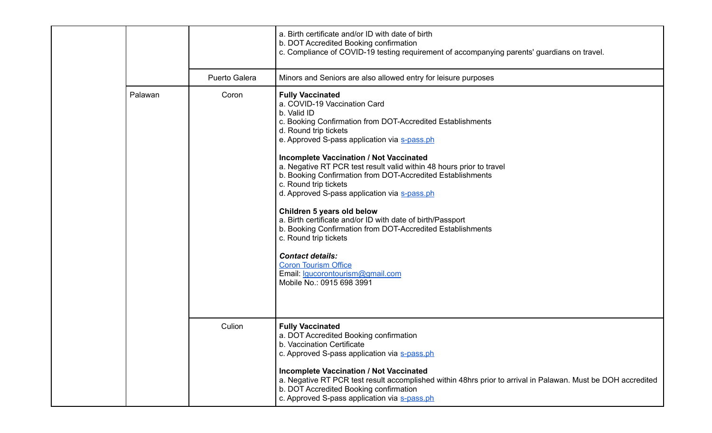|  |         |               | a. Birth certificate and/or ID with date of birth<br>b. DOT Accredited Booking confirmation<br>c. Compliance of COVID-19 testing requirement of accompanying parents' guardians on travel.                                                                                                                                                                                                                                                                                                                                                                                                                                                                                                                                                                                                          |
|--|---------|---------------|-----------------------------------------------------------------------------------------------------------------------------------------------------------------------------------------------------------------------------------------------------------------------------------------------------------------------------------------------------------------------------------------------------------------------------------------------------------------------------------------------------------------------------------------------------------------------------------------------------------------------------------------------------------------------------------------------------------------------------------------------------------------------------------------------------|
|  |         | Puerto Galera | Minors and Seniors are also allowed entry for leisure purposes                                                                                                                                                                                                                                                                                                                                                                                                                                                                                                                                                                                                                                                                                                                                      |
|  | Palawan | Coron         | <b>Fully Vaccinated</b><br>a. COVID-19 Vaccination Card<br>b. Valid ID<br>c. Booking Confirmation from DOT-Accredited Establishments<br>d. Round trip tickets<br>e. Approved S-pass application via s-pass.ph<br><b>Incomplete Vaccination / Not Vaccinated</b><br>a. Negative RT PCR test result valid within 48 hours prior to travel<br>b. Booking Confirmation from DOT-Accredited Establishments<br>c. Round trip tickets<br>d. Approved S-pass application via s-pass.ph<br>Children 5 years old below<br>a. Birth certificate and/or ID with date of birth/Passport<br>b. Booking Confirmation from DOT-Accredited Establishments<br>c. Round trip tickets<br><b>Contact details:</b><br><b>Coron Tourism Office</b><br>Email: <i>Igucorontourism@gmail.com</i><br>Mobile No.: 0915 698 3991 |
|  |         | Culion        | <b>Fully Vaccinated</b><br>a. DOT Accredited Booking confirmation<br>b. Vaccination Certificate<br>c. Approved S-pass application via s-pass.ph<br><b>Incomplete Vaccination / Not Vaccinated</b><br>a. Negative RT PCR test result accomplished within 48hrs prior to arrival in Palawan. Must be DOH accredited<br>b. DOT Accredited Booking confirmation<br>c. Approved S-pass application via s-pass.ph                                                                                                                                                                                                                                                                                                                                                                                         |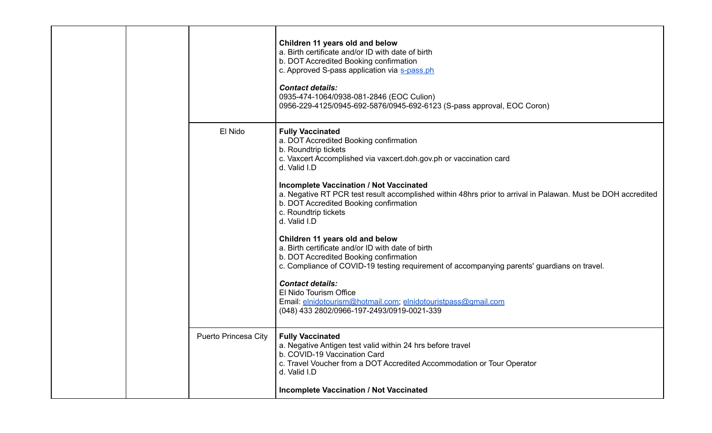|  | El Nido                     | Children 11 years old and below<br>a. Birth certificate and/or ID with date of birth<br>b. DOT Accredited Booking confirmation<br>c. Approved S-pass application via s-pass.ph<br><b>Contact details:</b><br>0935-474-1064/0938-081-2846 (EOC Culion)<br>0956-229-4125/0945-692-5876/0945-692-6123 (S-pass approval, EOC Coron)                                                                                                     |
|--|-----------------------------|-------------------------------------------------------------------------------------------------------------------------------------------------------------------------------------------------------------------------------------------------------------------------------------------------------------------------------------------------------------------------------------------------------------------------------------|
|  |                             | <b>Fully Vaccinated</b><br>a. DOT Accredited Booking confirmation<br>b. Roundtrip tickets<br>c. Vaxcert Accomplished via vaxcert.doh.gov.ph or vaccination card<br>d. Valid I.D<br><b>Incomplete Vaccination / Not Vaccinated</b><br>a. Negative RT PCR test result accomplished within 48hrs prior to arrival in Palawan. Must be DOH accredited<br>b. DOT Accredited Booking confirmation<br>c. Roundtrip tickets<br>d. Valid I.D |
|  |                             | Children 11 years old and below<br>a. Birth certificate and/or ID with date of birth<br>b. DOT Accredited Booking confirmation<br>c. Compliance of COVID-19 testing requirement of accompanying parents' guardians on travel.<br><b>Contact details:</b><br>El Nido Tourism Office<br>Email: elnidotourism@hotmail.com; elnidotouristpass@gmail.com<br>(048) 433 2802/0966-197-2493/0919-0021-339                                   |
|  | <b>Puerto Princesa City</b> | <b>Fully Vaccinated</b><br>a. Negative Antigen test valid within 24 hrs before travel<br>b. COVID-19 Vaccination Card<br>c. Travel Voucher from a DOT Accredited Accommodation or Tour Operator<br>d. Valid I.D<br><b>Incomplete Vaccination / Not Vaccinated</b>                                                                                                                                                                   |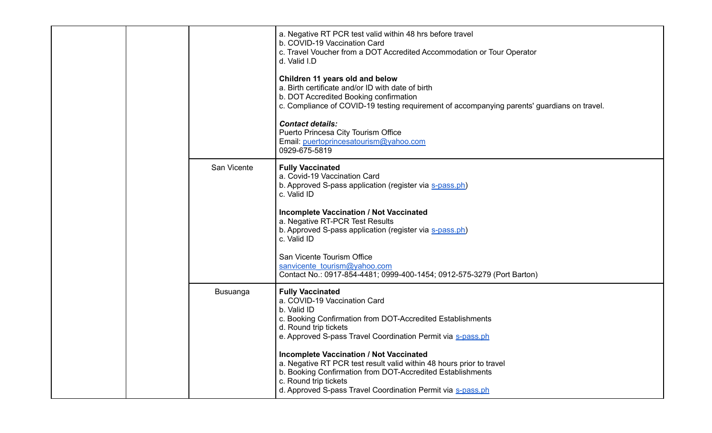|  |  |                         | a. Negative RT PCR test valid within 48 hrs before travel<br>b. COVID-19 Vaccination Card<br>c. Travel Voucher from a DOT Accredited Accommodation or Tour Operator<br>d. Valid I.D                                                                                          |
|--|--|-------------------------|------------------------------------------------------------------------------------------------------------------------------------------------------------------------------------------------------------------------------------------------------------------------------|
|  |  |                         | Children 11 years old and below<br>a. Birth certificate and/or ID with date of birth<br>b. DOT Accredited Booking confirmation<br>c. Compliance of COVID-19 testing requirement of accompanying parents' guardians on travel.                                                |
|  |  |                         | <b>Contact details:</b><br>Puerto Princesa City Tourism Office<br>Email: puertoprincesatourism@yahoo.com<br>0929-675-5819                                                                                                                                                    |
|  |  | San Vicente<br>Busuanga | <b>Fully Vaccinated</b><br>a. Covid-19 Vaccination Card<br>b. Approved S-pass application (register via s-pass.ph)<br>c. Valid ID                                                                                                                                            |
|  |  |                         | <b>Incomplete Vaccination / Not Vaccinated</b><br>a. Negative RT-PCR Test Results<br>b. Approved S-pass application (register via s-pass.ph)<br>c. Valid ID                                                                                                                  |
|  |  |                         | San Vicente Tourism Office<br>sanvicente tourism@yahoo.com<br>Contact No.: 0917-854-4481; 0999-400-1454; 0912-575-3279 (Port Barton)                                                                                                                                         |
|  |  |                         | <b>Fully Vaccinated</b><br>a. COVID-19 Vaccination Card<br>b. Valid ID<br>c. Booking Confirmation from DOT-Accredited Establishments<br>d. Round trip tickets<br>e. Approved S-pass Travel Coordination Permit via s-pass.ph                                                 |
|  |  |                         | <b>Incomplete Vaccination / Not Vaccinated</b><br>a. Negative RT PCR test result valid within 48 hours prior to travel<br>b. Booking Confirmation from DOT-Accredited Establishments<br>c. Round trip tickets<br>d. Approved S-pass Travel Coordination Permit via S-pass.ph |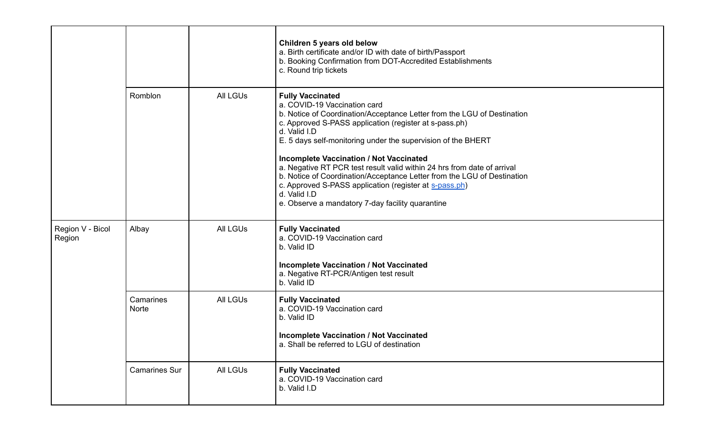|                            |                      |                 | Children 5 years old below<br>a. Birth certificate and/or ID with date of birth/Passport<br>b. Booking Confirmation from DOT-Accredited Establishments<br>c. Round trip tickets                                                                                                                                                                                                                                                                                                                                                                                                                                    |
|----------------------------|----------------------|-----------------|--------------------------------------------------------------------------------------------------------------------------------------------------------------------------------------------------------------------------------------------------------------------------------------------------------------------------------------------------------------------------------------------------------------------------------------------------------------------------------------------------------------------------------------------------------------------------------------------------------------------|
|                            | Romblon              | <b>All LGUs</b> | <b>Fully Vaccinated</b><br>a. COVID-19 Vaccination card<br>b. Notice of Coordination/Acceptance Letter from the LGU of Destination<br>c. Approved S-PASS application (register at s-pass.ph)<br>d. Valid I.D<br>E. 5 days self-monitoring under the supervision of the BHERT<br><b>Incomplete Vaccination / Not Vaccinated</b><br>a. Negative RT PCR test result valid within 24 hrs from date of arrival<br>b. Notice of Coordination/Acceptance Letter from the LGU of Destination<br>c. Approved S-PASS application (register at s-pass.ph)<br>d. Valid I.D<br>e. Observe a mandatory 7-day facility quarantine |
| Region V - Bicol<br>Region | Albay                | <b>All LGUs</b> | <b>Fully Vaccinated</b><br>a. COVID-19 Vaccination card<br>b. Valid ID<br><b>Incomplete Vaccination / Not Vaccinated</b><br>a. Negative RT-PCR/Antigen test result<br>b. Valid ID                                                                                                                                                                                                                                                                                                                                                                                                                                  |
|                            | Camarines<br>Norte   | <b>All LGUs</b> | <b>Fully Vaccinated</b><br>a. COVID-19 Vaccination card<br>b. Valid ID<br><b>Incomplete Vaccination / Not Vaccinated</b><br>a. Shall be referred to LGU of destination                                                                                                                                                                                                                                                                                                                                                                                                                                             |
|                            | <b>Camarines Sur</b> | All LGUs        | <b>Fully Vaccinated</b><br>a. COVID-19 Vaccination card<br>b. Valid I.D                                                                                                                                                                                                                                                                                                                                                                                                                                                                                                                                            |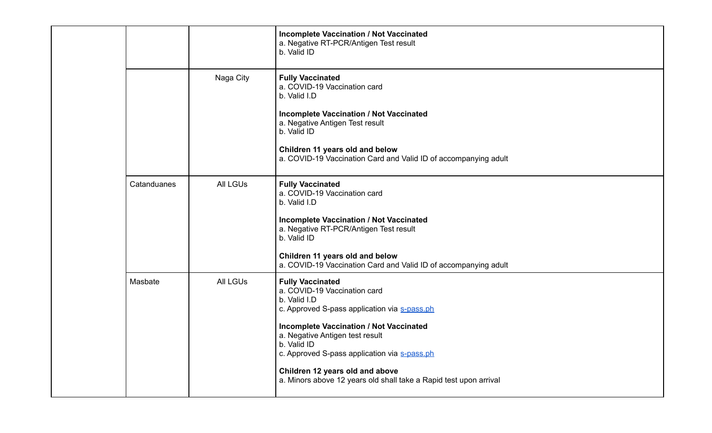|  |             |                 | <b>Incomplete Vaccination / Not Vaccinated</b><br>a. Negative RT-PCR/Antigen Test result<br>b. Valid ID                                                                                                                                                                                                                                                                             |
|--|-------------|-----------------|-------------------------------------------------------------------------------------------------------------------------------------------------------------------------------------------------------------------------------------------------------------------------------------------------------------------------------------------------------------------------------------|
|  |             | Naga City       | <b>Fully Vaccinated</b><br>a. COVID-19 Vaccination card<br>b. Valid I.D<br><b>Incomplete Vaccination / Not Vaccinated</b><br>a. Negative Antigen Test result<br>b. Valid ID<br>Children 11 years old and below<br>a. COVID-19 Vaccination Card and Valid ID of accompanying adult                                                                                                   |
|  | Catanduanes | <b>All LGUs</b> | <b>Fully Vaccinated</b><br>a. COVID-19 Vaccination card<br>b. Valid I.D<br><b>Incomplete Vaccination / Not Vaccinated</b><br>a. Negative RT-PCR/Antigen Test result<br>b. Valid ID<br>Children 11 years old and below<br>a. COVID-19 Vaccination Card and Valid ID of accompanying adult                                                                                            |
|  | Masbate     | <b>All LGUs</b> | <b>Fully Vaccinated</b><br>a. COVID-19 Vaccination card<br>b. Valid I.D<br>c. Approved S-pass application via s-pass.ph<br><b>Incomplete Vaccination / Not Vaccinated</b><br>a. Negative Antigen test result<br>b. Valid ID<br>c. Approved S-pass application via s-pass.ph<br>Children 12 years old and above<br>a. Minors above 12 years old shall take a Rapid test upon arrival |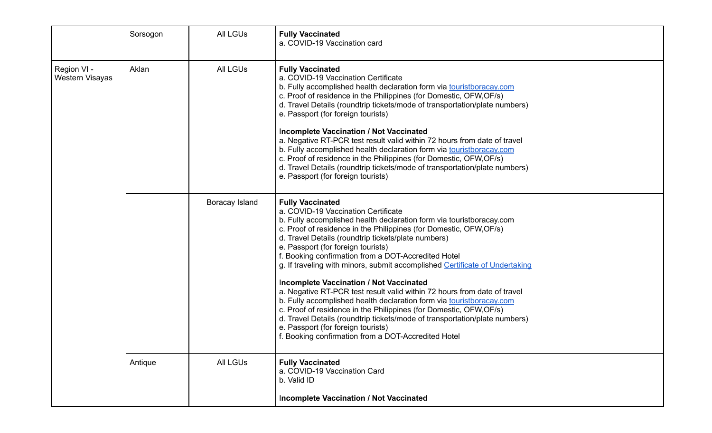|                                | Sorsogon | <b>All LGUs</b> | <b>Fully Vaccinated</b><br>a. COVID-19 Vaccination card                                                                                                                                                                                                                                                                                                                                                                                                                                                                                                                                                                                                                                                                                                                                                                                                                                                |
|--------------------------------|----------|-----------------|--------------------------------------------------------------------------------------------------------------------------------------------------------------------------------------------------------------------------------------------------------------------------------------------------------------------------------------------------------------------------------------------------------------------------------------------------------------------------------------------------------------------------------------------------------------------------------------------------------------------------------------------------------------------------------------------------------------------------------------------------------------------------------------------------------------------------------------------------------------------------------------------------------|
| Region VI -<br>Western Visayas | Aklan    | <b>All LGUs</b> | <b>Fully Vaccinated</b><br>a. COVID-19 Vaccination Certificate<br>b. Fully accomplished health declaration form via touristboracay.com<br>c. Proof of residence in the Philippines (for Domestic, OFW, OF/s)<br>d. Travel Details (roundtrip tickets/mode of transportation/plate numbers)<br>e. Passport (for foreign tourists)<br><b>Incomplete Vaccination / Not Vaccinated</b><br>a. Negative RT-PCR test result valid within 72 hours from date of travel<br>b. Fully accomplished health declaration form via touristboracay.com<br>c. Proof of residence in the Philippines (for Domestic, OFW, OF/s)<br>d. Travel Details (roundtrip tickets/mode of transportation/plate numbers)<br>e. Passport (for foreign tourists)                                                                                                                                                                       |
|                                |          | Boracay Island  | <b>Fully Vaccinated</b><br>a. COVID-19 Vaccination Certificate<br>b. Fully accomplished health declaration form via touristboracay.com<br>c. Proof of residence in the Philippines (for Domestic, OFW, OF/s)<br>d. Travel Details (roundtrip tickets/plate numbers)<br>e. Passport (for foreign tourists)<br>f. Booking confirmation from a DOT-Accredited Hotel<br>g. If traveling with minors, submit accomplished Certificate of Undertaking<br><b>Incomplete Vaccination / Not Vaccinated</b><br>a. Negative RT-PCR test result valid within 72 hours from date of travel<br>b. Fully accomplished health declaration form via touristboracay.com<br>c. Proof of residence in the Philippines (for Domestic, OFW, OF/s)<br>d. Travel Details (roundtrip tickets/mode of transportation/plate numbers)<br>e. Passport (for foreign tourists)<br>f. Booking confirmation from a DOT-Accredited Hotel |
|                                | Antique  | <b>All LGUs</b> | <b>Fully Vaccinated</b><br>a. COVID-19 Vaccination Card<br>b. Valid ID                                                                                                                                                                                                                                                                                                                                                                                                                                                                                                                                                                                                                                                                                                                                                                                                                                 |
|                                |          |                 | <b>Incomplete Vaccination / Not Vaccinated</b>                                                                                                                                                                                                                                                                                                                                                                                                                                                                                                                                                                                                                                                                                                                                                                                                                                                         |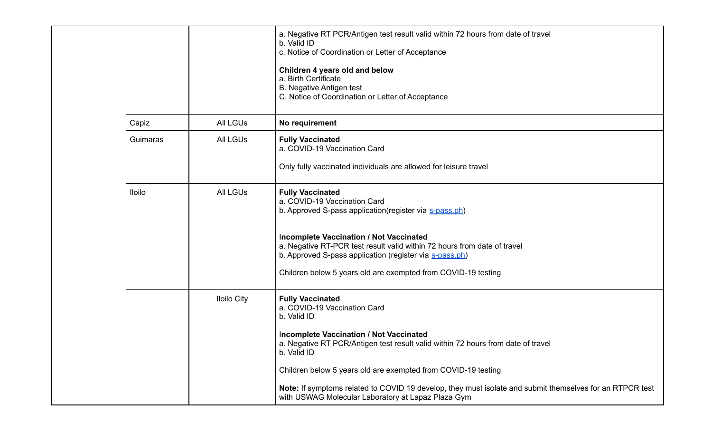|          |                    | a. Negative RT PCR/Antigen test result valid within 72 hours from date of travel<br>b. Valid ID<br>c. Notice of Coordination or Letter of Acceptance<br>Children 4 years old and below<br>a. Birth Certificate<br>B. Negative Antigen test<br>C. Notice of Coordination or Letter of Acceptance                                                                                                                                                         |
|----------|--------------------|---------------------------------------------------------------------------------------------------------------------------------------------------------------------------------------------------------------------------------------------------------------------------------------------------------------------------------------------------------------------------------------------------------------------------------------------------------|
| Capiz    | All LGUs           | No requirement                                                                                                                                                                                                                                                                                                                                                                                                                                          |
| Guimaras | All LGUs           | <b>Fully Vaccinated</b><br>a. COVID-19 Vaccination Card<br>Only fully vaccinated individuals are allowed for leisure travel                                                                                                                                                                                                                                                                                                                             |
| Iloilo   | <b>All LGUs</b>    | <b>Fully Vaccinated</b><br>a. COVID-19 Vaccination Card<br>b. Approved S-pass application (register via s-pass.ph)<br><b>Incomplete Vaccination / Not Vaccinated</b><br>a. Negative RT-PCR test result valid within 72 hours from date of travel<br>b. Approved S-pass application (register via s-pass.ph)<br>Children below 5 years old are exempted from COVID-19 testing                                                                            |
|          | <b>Iloilo City</b> | <b>Fully Vaccinated</b><br>a. COVID-19 Vaccination Card<br>b. Valid ID<br>Incomplete Vaccination / Not Vaccinated<br>a. Negative RT PCR/Antigen test result valid within 72 hours from date of travel<br>b. Valid ID<br>Children below 5 years old are exempted from COVID-19 testing<br>Note: If symptoms related to COVID 19 develop, they must isolate and submit themselves for an RTPCR test<br>with USWAG Molecular Laboratory at Lapaz Plaza Gym |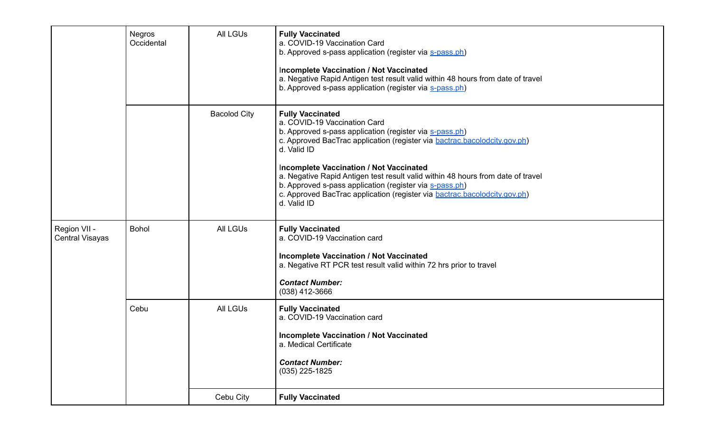|                                        | <b>Negros</b><br>Occidental | <b>All LGUS</b>     | <b>Fully Vaccinated</b><br>a. COVID-19 Vaccination Card<br>b. Approved s-pass application (register via s-pass.ph)<br>Incomplete Vaccination / Not Vaccinated<br>a. Negative Rapid Antigen test result valid within 48 hours from date of travel<br>b. Approved s-pass application (register via s-pass.ph)                                                                                                                                                                                         |
|----------------------------------------|-----------------------------|---------------------|-----------------------------------------------------------------------------------------------------------------------------------------------------------------------------------------------------------------------------------------------------------------------------------------------------------------------------------------------------------------------------------------------------------------------------------------------------------------------------------------------------|
|                                        |                             | <b>Bacolod City</b> | <b>Fully Vaccinated</b><br>a. COVID-19 Vaccination Card<br>b. Approved s-pass application (register via s-pass.ph)<br>c. Approved BacTrac application (register via bactrac.bacolodcity.gov.ph)<br>d. Valid ID<br>Incomplete Vaccination / Not Vaccinated<br>a. Negative Rapid Antigen test result valid within 48 hours from date of travel<br>b. Approved s-pass application (register via s-pass.ph)<br>c. Approved BacTrac application (register via bactrac.bacolodcity.gov.ph)<br>d. Valid ID |
| Region VII -<br><b>Central Visayas</b> | <b>Bohol</b>                | <b>All LGUS</b>     | <b>Fully Vaccinated</b><br>a. COVID-19 Vaccination card<br><b>Incomplete Vaccination / Not Vaccinated</b><br>a. Negative RT PCR test result valid within 72 hrs prior to travel<br><b>Contact Number:</b><br>$(038)$ 412-3666                                                                                                                                                                                                                                                                       |
|                                        | Cebu                        | <b>All LGUS</b>     | <b>Fully Vaccinated</b><br>a. COVID-19 Vaccination card<br><b>Incomplete Vaccination / Not Vaccinated</b><br>a. Medical Certificate<br><b>Contact Number:</b><br>$(035)$ 225-1825                                                                                                                                                                                                                                                                                                                   |
|                                        |                             | Cebu City           | <b>Fully Vaccinated</b>                                                                                                                                                                                                                                                                                                                                                                                                                                                                             |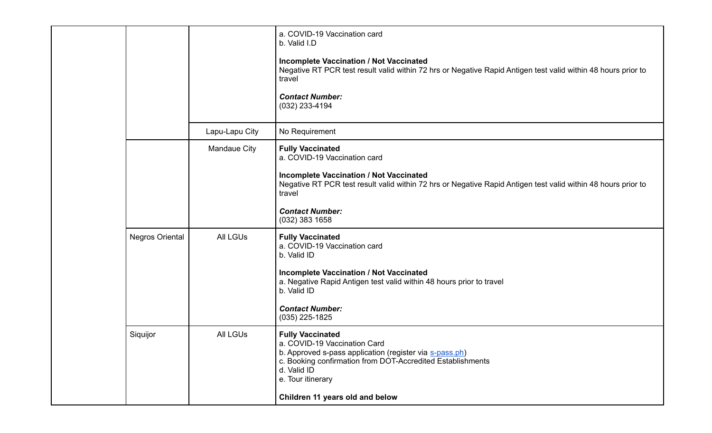|  |                        |                 | a. COVID-19 Vaccination card<br>b. Valid I.D<br><b>Incomplete Vaccination / Not Vaccinated</b><br>Negative RT PCR test result valid within 72 hrs or Negative Rapid Antigen test valid within 48 hours prior to<br>travel<br><b>Contact Number:</b><br>(032) 233-4194              |
|--|------------------------|-----------------|------------------------------------------------------------------------------------------------------------------------------------------------------------------------------------------------------------------------------------------------------------------------------------|
|  |                        | Lapu-Lapu City  | No Requirement                                                                                                                                                                                                                                                                     |
|  |                        | Mandaue City    | <b>Fully Vaccinated</b><br>a. COVID-19 Vaccination card<br><b>Incomplete Vaccination / Not Vaccinated</b><br>Negative RT PCR test result valid within 72 hrs or Negative Rapid Antigen test valid within 48 hours prior to<br>travel<br><b>Contact Number:</b><br>$(032)$ 383 1658 |
|  | <b>Negros Oriental</b> | <b>All LGUs</b> | <b>Fully Vaccinated</b><br>a. COVID-19 Vaccination card<br>b. Valid ID<br><b>Incomplete Vaccination / Not Vaccinated</b><br>a. Negative Rapid Antigen test valid within 48 hours prior to travel<br>b. Valid ID<br><b>Contact Number:</b><br>$(035)$ 225-1825                      |
|  | Siquijor               | <b>All LGUs</b> | <b>Fully Vaccinated</b><br>a. COVID-19 Vaccination Card<br>b. Approved s-pass application (register via s-pass.ph)<br>c. Booking confirmation from DOT-Accredited Establishments<br>d. Valid ID<br>e. Tour itinerary<br>Children 11 years old and below                            |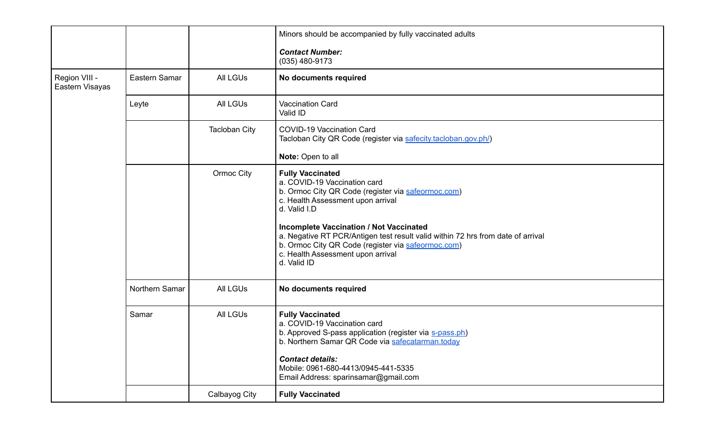|                                  |                |                      | Minors should be accompanied by fully vaccinated adults<br><b>Contact Number:</b>                                                                                                                                                                                                                                                                                                                                 |
|----------------------------------|----------------|----------------------|-------------------------------------------------------------------------------------------------------------------------------------------------------------------------------------------------------------------------------------------------------------------------------------------------------------------------------------------------------------------------------------------------------------------|
|                                  |                |                      | $(035)$ 480-9173                                                                                                                                                                                                                                                                                                                                                                                                  |
| Region VIII -<br>Eastern Visayas | Eastern Samar  | <b>All LGUs</b>      | No documents required                                                                                                                                                                                                                                                                                                                                                                                             |
|                                  | Leyte          | <b>All LGUs</b>      | Vaccination Card<br>Valid ID                                                                                                                                                                                                                                                                                                                                                                                      |
|                                  |                | <b>Tacloban City</b> | <b>COVID-19 Vaccination Card</b><br>Tacloban City QR Code (register via safecity.tacloban.gov.ph/)                                                                                                                                                                                                                                                                                                                |
|                                  |                |                      | Note: Open to all                                                                                                                                                                                                                                                                                                                                                                                                 |
|                                  |                | Ormoc City           | <b>Fully Vaccinated</b><br>a. COVID-19 Vaccination card<br>b. Ormoc City QR Code (register via safeormoc.com)<br>c. Health Assessment upon arrival<br>d. Valid I.D<br><b>Incomplete Vaccination / Not Vaccinated</b><br>a. Negative RT PCR/Antigen test result valid within 72 hrs from date of arrival<br>b. Ormoc City QR Code (register via safeormoc.com)<br>c. Health Assessment upon arrival<br>d. Valid ID |
|                                  | Northern Samar | <b>All LGUs</b>      | No documents required                                                                                                                                                                                                                                                                                                                                                                                             |
|                                  | Samar          | <b>All LGUs</b>      | <b>Fully Vaccinated</b><br>a. COVID-19 Vaccination card<br>b. Approved S-pass application (register via s-pass.ph)<br>b. Northern Samar QR Code via safecatarman.today<br><b>Contact details:</b><br>Mobile: 0961-680-4413/0945-441-5335<br>Email Address: sparinsamar@gmail.com                                                                                                                                  |
|                                  |                | Calbayog City        | <b>Fully Vaccinated</b>                                                                                                                                                                                                                                                                                                                                                                                           |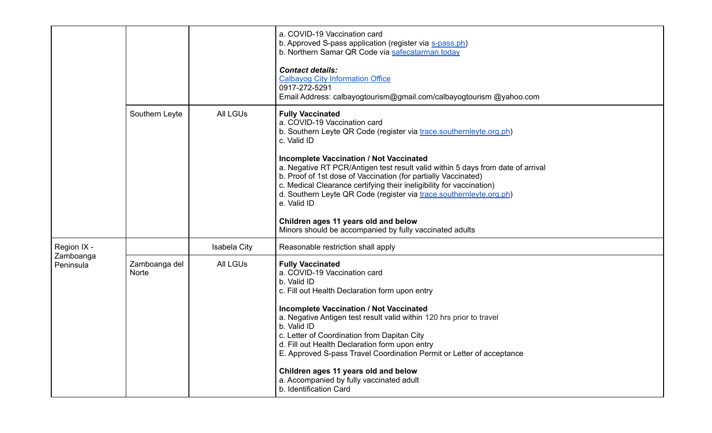|                        |                               |                     | a. COVID-19 Vaccination card<br>b. Approved S-pass application (register via s-pass.ph)<br>b. Northern Samar QR Code via safecatarman.today<br><b>Contact details:</b><br><b>Calbayog City Information Office</b><br>0917-272-5291<br>Email Address: calbayogtourism@gmail.com/calbayogtourism @yahoo.com                                                                                                                                                                                                                                                                                                             |
|------------------------|-------------------------------|---------------------|-----------------------------------------------------------------------------------------------------------------------------------------------------------------------------------------------------------------------------------------------------------------------------------------------------------------------------------------------------------------------------------------------------------------------------------------------------------------------------------------------------------------------------------------------------------------------------------------------------------------------|
|                        | Southern Leyte                | <b>All LGUs</b>     | <b>Fully Vaccinated</b><br>a. COVID-19 Vaccination card<br>b. Southern Leyte QR Code (register via trace southernleyte org.ph)<br>c. Valid ID<br><b>Incomplete Vaccination / Not Vaccinated</b><br>a. Negative RT PCR/Antigen test result valid within 5 days from date of arrival<br>b. Proof of 1st dose of Vaccination (for partially Vaccinated)<br>c. Medical Clearance certifying their ineligibility for vaccination)<br>d. Southern Leyte QR Code (register via trace.southernleyte.org.ph)<br>e. Valid ID<br>Children ages 11 years old and below<br>Minors should be accompanied by fully vaccinated adults |
| Region IX -            |                               | <b>Isabela City</b> | Reasonable restriction shall apply                                                                                                                                                                                                                                                                                                                                                                                                                                                                                                                                                                                    |
| Zamboanga<br>Peninsula | Zamboanga del<br><b>Norte</b> | <b>All LGUs</b>     | <b>Fully Vaccinated</b><br>a. COVID-19 Vaccination card<br>b. Valid ID<br>c. Fill out Health Declaration form upon entry<br><b>Incomplete Vaccination / Not Vaccinated</b><br>a. Negative Antigen test result valid within 120 hrs prior to travel<br>b. Valid ID<br>c. Letter of Coordination from Dapitan City<br>d. Fill out Health Declaration form upon entry<br>E. Approved S-pass Travel Coordination Permit or Letter of acceptance<br>Children ages 11 years old and below<br>a. Accompanied by fully vaccinated adult<br>b. Identification Card                                                             |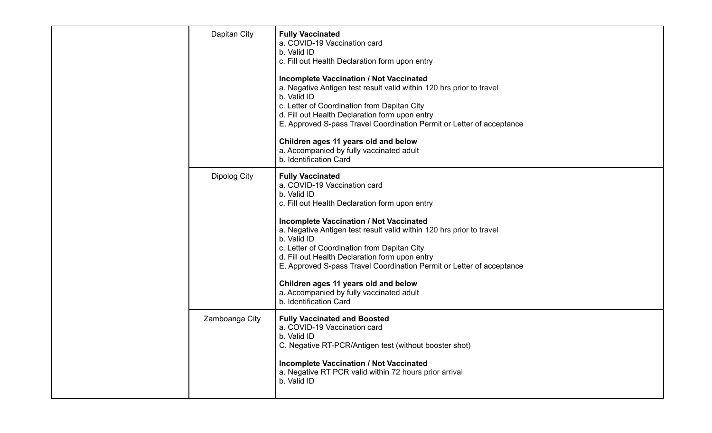|  | Dapitan City   | <b>Fully Vaccinated</b><br>a. COVID-19 Vaccination card<br>b. Valid ID<br>c. Fill out Health Declaration form upon entry<br><b>Incomplete Vaccination / Not Vaccinated</b><br>a. Negative Antigen test result valid within 120 hrs prior to travel<br>b. Valid ID<br>c. Letter of Coordination from Dapitan City<br>d. Fill out Health Declaration form upon entry<br>E. Approved S-pass Travel Coordination Permit or Letter of acceptance<br>Children ages 11 years old and below<br>a. Accompanied by fully vaccinated adult<br>b. Identification Card |
|--|----------------|-----------------------------------------------------------------------------------------------------------------------------------------------------------------------------------------------------------------------------------------------------------------------------------------------------------------------------------------------------------------------------------------------------------------------------------------------------------------------------------------------------------------------------------------------------------|
|  | Dipolog City   | <b>Fully Vaccinated</b><br>a. COVID-19 Vaccination card<br>b. Valid ID<br>c. Fill out Health Declaration form upon entry<br><b>Incomplete Vaccination / Not Vaccinated</b><br>a. Negative Antigen test result valid within 120 hrs prior to travel<br>b. Valid ID<br>c. Letter of Coordination from Dapitan City<br>d. Fill out Health Declaration form upon entry<br>E. Approved S-pass Travel Coordination Permit or Letter of acceptance<br>Children ages 11 years old and below<br>a. Accompanied by fully vaccinated adult<br>b. Identification Card |
|  | Zamboanga City | <b>Fully Vaccinated and Boosted</b><br>a. COVID-19 Vaccination card<br>b. Valid ID<br>C. Negative RT-PCR/Antigen test (without booster shot)<br><b>Incomplete Vaccination / Not Vaccinated</b><br>a. Negative RT PCR valid within 72 hours prior arrival<br>b. Valid ID                                                                                                                                                                                                                                                                                   |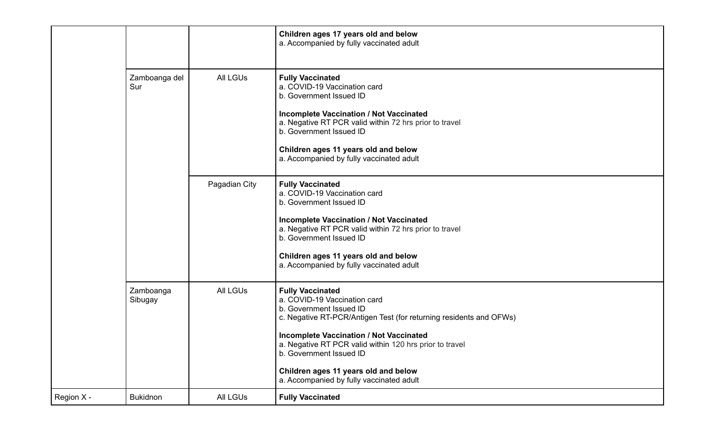|            |                      |                 | Children ages 17 years old and below<br>a. Accompanied by fully vaccinated adult                                                                                                                                                                                                                                                                                                     |
|------------|----------------------|-----------------|--------------------------------------------------------------------------------------------------------------------------------------------------------------------------------------------------------------------------------------------------------------------------------------------------------------------------------------------------------------------------------------|
|            | Zamboanga del<br>Sur | <b>All LGUs</b> | <b>Fully Vaccinated</b><br>a. COVID-19 Vaccination card<br>b. Government Issued ID<br><b>Incomplete Vaccination / Not Vaccinated</b><br>a. Negative RT PCR valid within 72 hrs prior to travel<br>b. Government Issued ID<br>Children ages 11 years old and below<br>a. Accompanied by fully vaccinated adult                                                                        |
|            |                      | Pagadian City   | <b>Fully Vaccinated</b><br>a. COVID-19 Vaccination card<br>b. Government Issued ID<br><b>Incomplete Vaccination / Not Vaccinated</b><br>a. Negative RT PCR valid within 72 hrs prior to travel<br>b. Government Issued ID<br>Children ages 11 years old and below<br>a. Accompanied by fully vaccinated adult                                                                        |
|            | Zamboanga<br>Sibugay | <b>All LGUs</b> | <b>Fully Vaccinated</b><br>a. COVID-19 Vaccination card<br>b. Government Issued ID<br>c. Negative RT-PCR/Antigen Test (for returning residents and OFWs)<br><b>Incomplete Vaccination / Not Vaccinated</b><br>a. Negative RT PCR valid within 120 hrs prior to travel<br>b. Government Issued ID<br>Children ages 11 years old and below<br>a. Accompanied by fully vaccinated adult |
| Region X - | <b>Bukidnon</b>      | All LGUs        | <b>Fully Vaccinated</b>                                                                                                                                                                                                                                                                                                                                                              |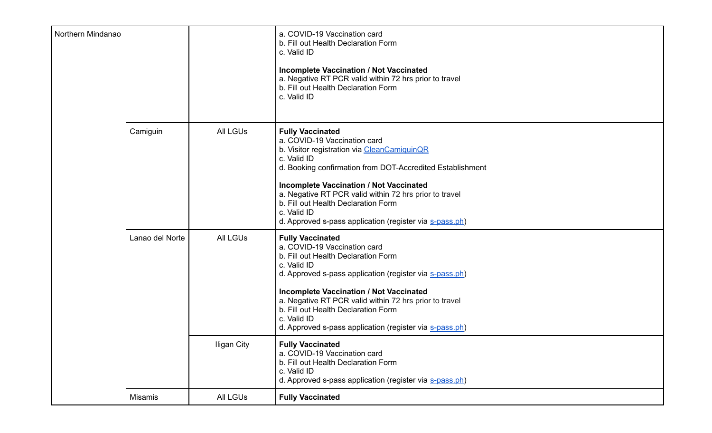| Northern Mindanao |                 |                    | a. COVID-19 Vaccination card<br>b. Fill out Health Declaration Form<br>c. Valid ID<br><b>Incomplete Vaccination / Not Vaccinated</b><br>a. Negative RT PCR valid within 72 hrs prior to travel<br>b. Fill out Health Declaration Form<br>c. Valid ID                                                                                                                                                            |
|-------------------|-----------------|--------------------|-----------------------------------------------------------------------------------------------------------------------------------------------------------------------------------------------------------------------------------------------------------------------------------------------------------------------------------------------------------------------------------------------------------------|
|                   | Camiguin        | <b>All LGUs</b>    | <b>Fully Vaccinated</b><br>a. COVID-19 Vaccination card<br>b. Visitor registration via CleanCamiquinQR<br>c. Valid ID<br>d. Booking confirmation from DOT-Accredited Establishment<br><b>Incomplete Vaccination / Not Vaccinated</b><br>a. Negative RT PCR valid within 72 hrs prior to travel<br>b. Fill out Health Declaration Form<br>c. Valid ID<br>d. Approved s-pass application (register via s-pass.ph) |
|                   | Lanao del Norte | <b>All LGUS</b>    | <b>Fully Vaccinated</b><br>a. COVID-19 Vaccination card<br>b. Fill out Health Declaration Form<br>c. Valid ID<br>d. Approved s-pass application (register via s-pass.ph)<br><b>Incomplete Vaccination / Not Vaccinated</b><br>a. Negative RT PCR valid within 72 hrs prior to travel<br>b. Fill out Health Declaration Form<br>c. Valid ID<br>d. Approved s-pass application (register via s-pass.ph)           |
|                   |                 | <b>Iligan City</b> | <b>Fully Vaccinated</b><br>a. COVID-19 Vaccination card<br>b. Fill out Health Declaration Form<br>c. Valid ID<br>d. Approved s-pass application (register via s-pass.ph)                                                                                                                                                                                                                                        |
|                   | Misamis         | All LGUs           | <b>Fully Vaccinated</b>                                                                                                                                                                                                                                                                                                                                                                                         |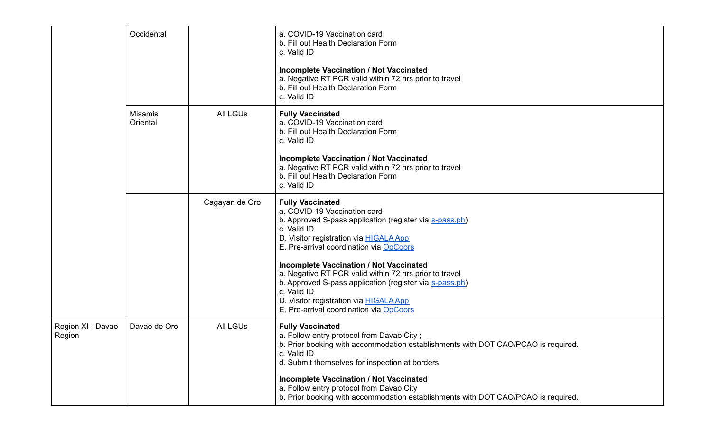|                             | Occidental                 |                 | a. COVID-19 Vaccination card<br>b. Fill out Health Declaration Form<br>c. Valid ID                                                                                                                                                                                             |
|-----------------------------|----------------------------|-----------------|--------------------------------------------------------------------------------------------------------------------------------------------------------------------------------------------------------------------------------------------------------------------------------|
|                             |                            |                 | <b>Incomplete Vaccination / Not Vaccinated</b><br>a. Negative RT PCR valid within 72 hrs prior to travel<br>b. Fill out Health Declaration Form<br>c. Valid ID                                                                                                                 |
|                             | <b>Misamis</b><br>Oriental | <b>All LGUs</b> | <b>Fully Vaccinated</b><br>a. COVID-19 Vaccination card<br>b. Fill out Health Declaration Form<br>c. Valid ID                                                                                                                                                                  |
|                             |                            |                 | <b>Incomplete Vaccination / Not Vaccinated</b><br>a. Negative RT PCR valid within 72 hrs prior to travel<br>b. Fill out Health Declaration Form<br>c. Valid ID                                                                                                                 |
|                             |                            | Cagayan de Oro  | <b>Fully Vaccinated</b><br>a. COVID-19 Vaccination card<br>b. Approved S-pass application (register via s-pass.ph)<br>c. Valid ID<br>D. Visitor registration via <b>HIGALA App</b><br>E. Pre-arrival coordination via OpCoors                                                  |
|                             |                            |                 | <b>Incomplete Vaccination / Not Vaccinated</b><br>a. Negative RT PCR valid within 72 hrs prior to travel<br>b. Approved S-pass application (register via s-pass.ph)<br>c. Valid ID<br>D. Visitor registration via <b>HIGALA App</b><br>E. Pre-arrival coordination via OpCoors |
| Region XI - Davao<br>Region | Davao de Oro               | <b>All LGUs</b> | <b>Fully Vaccinated</b><br>a. Follow entry protocol from Davao City;<br>b. Prior booking with accommodation establishments with DOT CAO/PCAO is required.<br>c. Valid ID<br>d. Submit themselves for inspection at borders.                                                    |
|                             |                            |                 | <b>Incomplete Vaccination / Not Vaccinated</b><br>a. Follow entry protocol from Davao City<br>b. Prior booking with accommodation establishments with DOT CAO/PCAO is required.                                                                                                |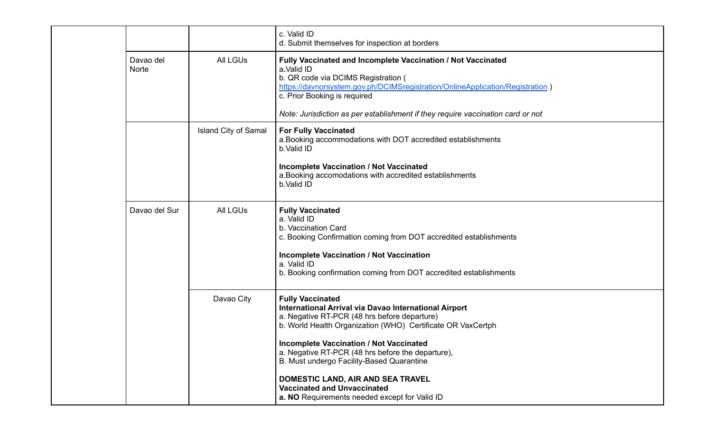|                           |                             | c. Valid ID<br>d. Submit themselves for inspection at borders                                                                                                                                                                                                                                                                                                                                                                                                                   |
|---------------------------|-----------------------------|---------------------------------------------------------------------------------------------------------------------------------------------------------------------------------------------------------------------------------------------------------------------------------------------------------------------------------------------------------------------------------------------------------------------------------------------------------------------------------|
| Davao del<br><b>Norte</b> | <b>All LGUs</b>             | Fully Vaccinated and Incomplete Vaccination / Not Vaccinated<br>a.Valid ID<br>b. QR code via DCIMS Registration (<br>https://davnorsystem.gov.ph/DCIMSregistration/OnlineApplication/Registration)<br>c. Prior Booking is required<br>Note: Jurisdiction as per establishment if they require vaccination card or not                                                                                                                                                           |
|                           | <b>Island City of Samal</b> | <b>For Fully Vaccinated</b><br>a. Booking accommodations with DOT accredited establishments<br>b.Valid ID<br><b>Incomplete Vaccination / Not Vaccinated</b><br>a. Booking accomodations with accredited establishments<br>b.Valid ID                                                                                                                                                                                                                                            |
| Davao del Sur             | <b>All LGUs</b>             | <b>Fully Vaccinated</b><br>a. Valid ID<br>b. Vaccination Card<br>c. Booking Confirmation coming from DOT accredited establishments<br><b>Incomplete Vaccination / Not Vaccination</b><br>a. Valid ID<br>b. Booking confirmation coming from DOT accredited establishments                                                                                                                                                                                                       |
|                           | Davao City                  | <b>Fully Vaccinated</b><br>International Arrival via Davao International Airport<br>a. Negative RT-PCR (48 hrs before departure)<br>b. World Health Organization (WHO) Certificate OR VaxCertph<br><b>Incomplete Vaccination / Not Vaccinated</b><br>a. Negative RT-PCR (48 hrs before the departure),<br>B. Must undergo Facility-Based Quarantine<br>DOMESTIC LAND, AIR AND SEA TRAVEL<br><b>Vaccinated and Unvaccinated</b><br>a. NO Requirements needed except for Valid ID |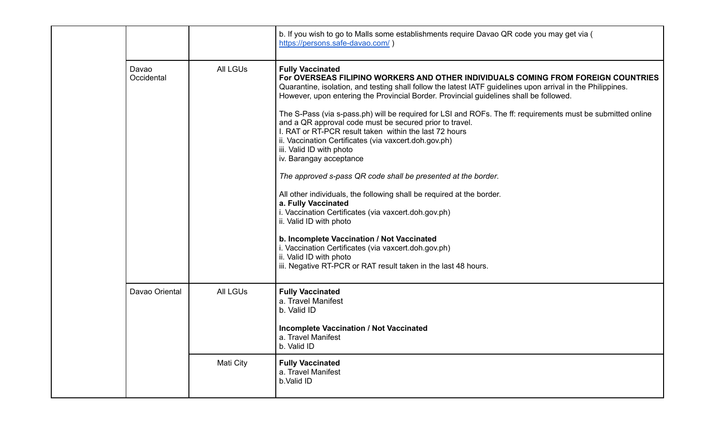|  |                     |                 | b. If you wish to go to Malls some establishments require Davao QR code you may get via (<br>https://persons.safe-davao.com/)                                                                                                                                                                                                                                                                                                                                                                                                                                                                                                                                                                                                                                                                                                                                                                                                                                                                                                                                                                                                    |
|--|---------------------|-----------------|----------------------------------------------------------------------------------------------------------------------------------------------------------------------------------------------------------------------------------------------------------------------------------------------------------------------------------------------------------------------------------------------------------------------------------------------------------------------------------------------------------------------------------------------------------------------------------------------------------------------------------------------------------------------------------------------------------------------------------------------------------------------------------------------------------------------------------------------------------------------------------------------------------------------------------------------------------------------------------------------------------------------------------------------------------------------------------------------------------------------------------|
|  | Davao<br>Occidental | <b>All LGUs</b> | <b>Fully Vaccinated</b><br>For OVERSEAS FILIPINO WORKERS AND OTHER INDIVIDUALS COMING FROM FOREIGN COUNTRIES<br>Quarantine, isolation, and testing shall follow the latest IATF guidelines upon arrival in the Philippines.<br>However, upon entering the Provincial Border. Provincial guidelines shall be followed.<br>The S-Pass (via s-pass.ph) will be required for LSI and ROFs. The ff: requirements must be submitted online<br>and a QR approval code must be secured prior to travel.<br>I. RAT or RT-PCR result taken within the last 72 hours<br>ii. Vaccination Certificates (via vaxcert.doh.gov.ph)<br>iii. Valid ID with photo<br>iv. Barangay acceptance<br>The approved s-pass QR code shall be presented at the border.<br>All other individuals, the following shall be required at the border.<br>a. Fully Vaccinated<br>i. Vaccination Certificates (via vaxcert.doh.gov.ph)<br>ii. Valid ID with photo<br>b. Incomplete Vaccination / Not Vaccinated<br>i. Vaccination Certificates (via vaxcert.doh.gov.ph)<br>ii. Valid ID with photo<br>iii. Negative RT-PCR or RAT result taken in the last 48 hours. |
|  | Davao Oriental      | <b>All LGUs</b> | <b>Fully Vaccinated</b><br>a. Travel Manifest<br>b. Valid ID<br><b>Incomplete Vaccination / Not Vaccinated</b><br>a. Travel Manifest<br>b. Valid ID                                                                                                                                                                                                                                                                                                                                                                                                                                                                                                                                                                                                                                                                                                                                                                                                                                                                                                                                                                              |
|  |                     | Mati City       | <b>Fully Vaccinated</b><br>a. Travel Manifest<br>b.Valid ID                                                                                                                                                                                                                                                                                                                                                                                                                                                                                                                                                                                                                                                                                                                                                                                                                                                                                                                                                                                                                                                                      |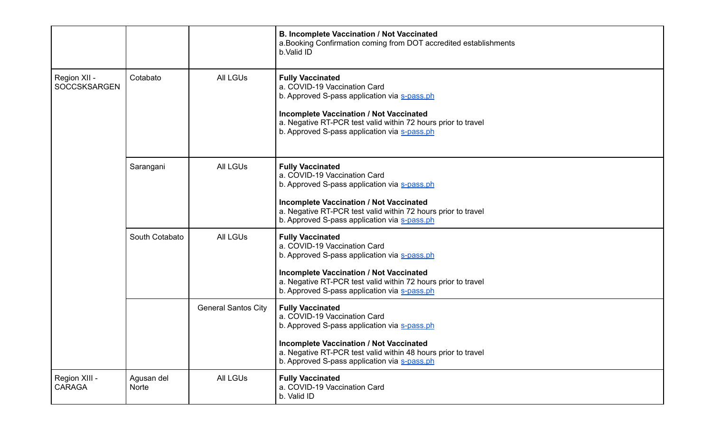|                                     |                     |                            | <b>B. Incomplete Vaccination / Not Vaccinated</b><br>a. Booking Confirmation coming from DOT accredited establishments<br>b.Valid ID                                                                                                                                       |
|-------------------------------------|---------------------|----------------------------|----------------------------------------------------------------------------------------------------------------------------------------------------------------------------------------------------------------------------------------------------------------------------|
| Region XII -<br><b>SOCCSKSARGEN</b> | Cotabato            | <b>All LGUs</b>            | <b>Fully Vaccinated</b><br>a. COVID-19 Vaccination Card<br>b. Approved S-pass application via s-pass.ph<br><b>Incomplete Vaccination / Not Vaccinated</b><br>a. Negative RT-PCR test valid within 72 hours prior to travel<br>b. Approved S-pass application via s-pass.ph |
|                                     | Sarangani           | <b>All LGUs</b>            | <b>Fully Vaccinated</b><br>a. COVID-19 Vaccination Card<br>b. Approved S-pass application via s-pass.ph<br><b>Incomplete Vaccination / Not Vaccinated</b><br>a. Negative RT-PCR test valid within 72 hours prior to travel<br>b. Approved S-pass application via s-pass.ph |
|                                     | South Cotabato      | <b>All LGUs</b>            | <b>Fully Vaccinated</b><br>a. COVID-19 Vaccination Card<br>b. Approved S-pass application via s-pass.ph<br><b>Incomplete Vaccination / Not Vaccinated</b><br>a. Negative RT-PCR test valid within 72 hours prior to travel<br>b. Approved S-pass application via s-pass.ph |
|                                     |                     | <b>General Santos City</b> | <b>Fully Vaccinated</b><br>a. COVID-19 Vaccination Card<br>b. Approved S-pass application via s-pass.ph<br><b>Incomplete Vaccination / Not Vaccinated</b><br>a. Negative RT-PCR test valid within 48 hours prior to travel<br>b. Approved S-pass application via s-pass.ph |
| Region XIII -<br><b>CARAGA</b>      | Agusan del<br>Norte | <b>All LGUs</b>            | <b>Fully Vaccinated</b><br>a. COVID-19 Vaccination Card<br>b. Valid ID                                                                                                                                                                                                     |